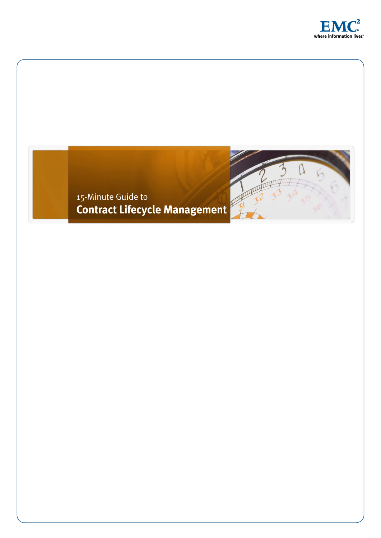

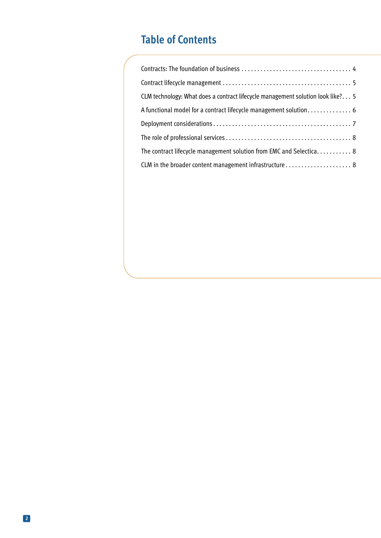# **Table of Contents**

| CLM technology: What does a contract lifecycle management solution look like? 5 |
|---------------------------------------------------------------------------------|
|                                                                                 |
|                                                                                 |
|                                                                                 |
| The contract lifecycle management solution from EMC and Selectica 8             |
| CLM in the broader content management infrastructure 8                          |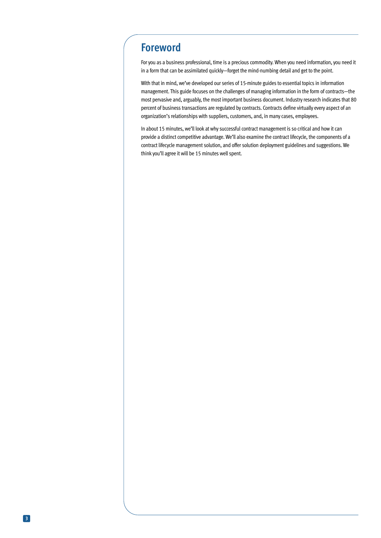### **Foreword**

For you as a business professional, time is a precious commodity. When you need information, you need it in a form that can be assimilated quickly—forget the mind-numbing detail and get to the point.

With that in mind, we've developed our series of 15-minute guides to essential topics in information management. This guide focuses on the challenges of managing information in the form of contracts—the most pervasive and, arguably, the most important business document. Industry research indicates that 80 percent of business transactions are regulated by contracts. Contracts define virtually every aspect of an organization's relationships with suppliers, customers, and, in many cases, employees.

In about 15 minutes, we'll look at why successful contract management is so critical and how it can provide a distinct competitive advantage. We'll also examine the contract lifecycle, the components of a contract lifecycle management solution, and offer solution deployment guidelines and suggestions. We think you'll agree it will be 15 minutes well spent.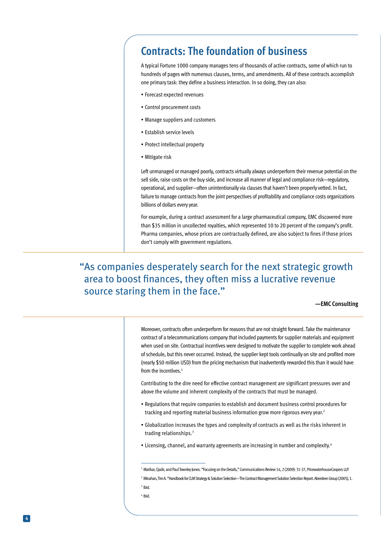## **Contracts: The foundation of business**

A typical Fortune 1000 company manages tens of thousands of active contracts, some of which run to hundreds of pages with numerous clauses, terms, and amendments. All of these contracts accomplish one primary task: they define a business interaction. In so doing, they can also:

- Forecast expected revenues
- Control procurement costs
- Manage suppliers and customers
- Establish service levels
- Protect intellectual property
- Mitigate risk

Left unmanaged or managed poorly, contracts virtually always underperform their revenue potential on the sell side, raise costs on the buy side, and increase all manner of legal and compliance risk—regulatory, operational, and supplier—often unintentionally via clauses that haven't been properly vetted. In fact, failure to manage contracts from the joint perspectives of profitability and compliance costs organizations billions of dollars every year.

For example, during a contract assessment for a large pharmaceutical company, EMC discovered more than \$35 million in uncollected royalties, which represented 10 to 20 percent of the company's profit. Pharma companies, whose prices are contractually defined, are also subject to fines if those prices don't comply with government regulations.

### "As companies desperately search for the next strategic growth area to boost finances, they often miss a lucrative revenue source staring them in the face."

**—EMC Consulting**

Moreover, contracts often underperform for reasons that are not straight forward. Take the maintenance contract of a telecommunications company that included payments for supplier materials and equipment when used on site. Contractual incentives were designed to motivate the supplier to complete work ahead of schedule, but this never occurred. Instead, the supplier kept tools continually on site and profited more (nearly \$50 million USD) from the pricing mechanism that inadvertently rewarded this than it would have from the incentives. 1

Contributing to the dire need for effective contract management are significant pressures over and above the volume and inherent complexity of the contracts that must be managed.

- Regulations that require companies to establish and document business control procedures for tracking and reporting material business information grow more rigorous every year. 2
- Globalization increases the types and complexity of contracts as well as the risks inherent in trading relationships. 3
- Licensing, channel, and warranty agreements are increasing in number and complexity.<sup>4</sup>

4 Ibid.

<sup>1</sup> Marikar, Qadir, and Paul Townley-Jones. "Focusing on the Details," Communications Review 14, 2 (2009): 31-37, PricewaterhouseCoopers LLP. 2 Minahan, Tim A. "Handbook for CLM Strategy & Solution Selection—The Contract Management Solution Selection Report. Aberdeen Group (2005), 1. 3 Ibid.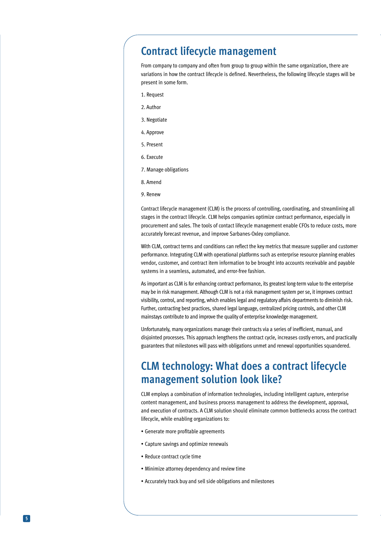### **Contract lifecycle management**

From company to company and often from group to group within the same organization, there are variations in how the contract lifecycle is defined. Nevertheless, the following lifecycle stages will be present in some form.

- 1. Request
- 2. Author
- 3. Negotiate
- 4. Approve
- 5. Present
- 6. Execute
- 7. Manage obligations
- 8. Amend
- 9. Renew

Contract lifecycle management (CLM) is the process of controlling, coordinating, and streamlining all stages in the contract lifecycle. CLM helps companies optimize contract performance, especially in procurement and sales. The tools of contact lifecycle management enable CFOs to reduce costs, more accurately forecast revenue, and improve Sarbanes-Oxley compliance.

With CLM, contract terms and conditions can reflect the key metrics that measure supplier and customer performance. Integrating CLM with operational platforms such as enterprise resource planning enables vendor, customer, and contract item information to be brought into accounts receivable and payable systems in a seamless, automated, and error-free fashion.

As important as CLM is for enhancing contract performance, its greatest long-term value to the enterprise may be in risk management. Although CLM is not a risk management system per se, it improves contract visibility, control, and reporting, which enables legal and regulatory affairs departments to diminish risk. Further, contracting best practices, shared legal language, centralized pricing controls, and other CLM mainstays contribute to and improve the quality of enterprise knowledge management.

Unfortunately, many organizations manage their contracts via a series of inefficient, manual, and disjointed processes. This approach lengthens the contract cycle, increases costly errors, and practically guarantees that milestones will pass with obligations unmet and renewal opportunities squandered.

## **CLM technology: What does a contract lifecycle management solution look like?**

CLM employs a combination of information technologies, including intelligent capture, enterprise content management, and business process management to address the development, approval, and execution of contracts. A CLM solution should eliminate common bottlenecks across the contract lifecycle, while enabling organizations to:

- Generate more profitable agreements
- Capture savings and optimize renewals
- Reduce contract cycle time
- Minimize attorney dependency and review time
- Accurately track buy and sell side obligations and milestones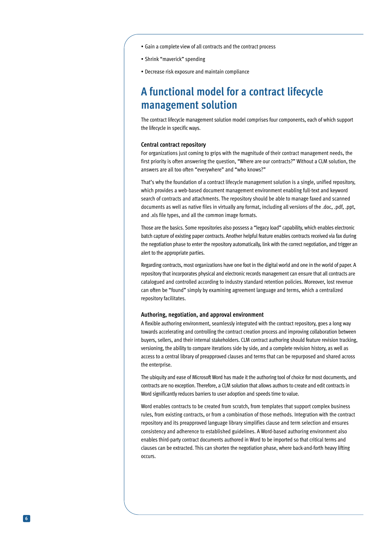- Gain a complete view of all contracts and the contract process
- Shrink "maverick" spending
- Decrease risk exposure and maintain compliance

### **A functional model for a contract lifecycle management solution**

The contract lifecycle management solution model comprises four components, each of which support the lifecycle in specific ways.

#### **Central contract repository**

For organizations just coming to grips with the magnitude of their contract management needs, the first priority is often answering the question, "Where are our contracts?" Without a CLM solution, the answers are all too often "everywhere" and "who knows?"

That's why the foundation of a contract lifecycle management solution is a single, unified repository, which provides a web-based document management environment enabling full-text and keyword search of contracts and attachments. The repository should be able to manage faxed and scanned documents as well as native files in virtually any format, including all versions of the .doc, .pdf, .ppt, and .xls file types, and all the common image formats.

Those are the basics. Some repositories also possess a "legacy load" capability, which enables electronic batch capture of existing paper contracts. Another helpful feature enables contracts received via fax during the negotiation phase to enter the repository automatically, link with the correct negotiation, and trigger an alert to the appropriate parties.

Regarding contracts, most organizations have one foot in the digital world and one in the world of paper. A repository that incorporates physical and electronic records management can ensure that all contracts are catalogued and controlled according to industry standard retention policies. Moreover, lost revenue can often be "found" simply by examining agreement language and terms, which a centralized repository facilitates.

#### **Authoring, negotiation, and approval environment**

A flexible authoring environment, seamlessly integrated with the contract repository, goes a long way towards accelerating and controlling the contract creation process and improving collaboration between buyers, sellers, and their internal stakeholders. CLM contract authoring should feature revision tracking, versioning, the ability to compare iterations side by side, and a complete revision history, as well as access to a central library of preapproved clauses and terms that can be repurposed and shared across the enterprise.

The ubiquity and ease of Microsoft Word has made it the authoring tool of choice for most documents, and contracts are no exception. Therefore, a CLM solution that allows authors to create and edit contracts in Word significantly reduces barriers to user adoption and speeds time to value.

Word enables contracts to be created from scratch, from templates that support complex business rules, from existing contracts, or from a combination of those methods. Integration with the contract repository and its preapproved language library simplifies clause and term selection and ensures consistency and adherence to established guidelines. A Word-based authoring environment also enables third-party contract documents authored in Word to be imported so that critical terms and clauses can be extracted. This can shorten the negotiation phase, where back-and-forth heavy lifting occurs.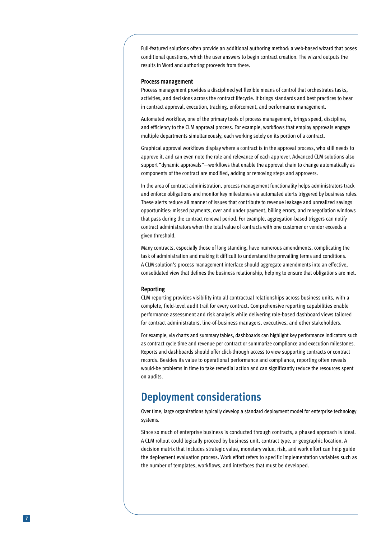Full-featured solutions often provide an additional authoring method: a web-based wizard that poses conditional questions, which the user answers to begin contract creation. The wizard outputs the results in Word and authoring proceeds from there.

#### **Process management**

Process management provides a disciplined yet flexible means of control that orchestrates tasks, activities, and decisions across the contract lifecycle. It brings standards and best practices to bear in contract approval, execution, tracking, enforcement, and performance management.

Automated workflow, one of the primary tools of process management, brings speed, discipline, and efficiency to the CLM approval process. For example, workflows that employ approvals engage multiple departments simultaneously, each working solely on its portion of a contract.

Graphical approval workflows display where a contract is in the approval process, who still needs to approve it, and can even note the role and relevance of each approver. Advanced CLM solutions also support "dynamic approvals"—workflows that enable the approval chain to change automatically as components of the contract are modified, adding or removing steps and approvers.

In the area of contract administration, process management functionality helps administrators track and enforce obligations and monitor key milestones via automated alerts triggered by business rules. These alerts reduce all manner of issues that contribute to revenue leakage and unrealized savings opportunities: missed payments, over and under payment, billing errors, and renegotiation windows that pass during the contract renewal period. For example, aggregation-based triggers can notify contract administrators when the total value of contracts with one customer or vendor exceeds a given threshold.

Many contracts, especially those of long standing, have numerous amendments, complicating the task of administration and making it difficult to understand the prevailing terms and conditions. A CLM solution's process management interface should aggregate amendments into an effective, consolidated view that defines the business relationship, helping to ensure that obligations are met.

#### **Reporting**

CLM reporting provides visibility into all contractual relationships across business units, with a complete, field-level audit trail for every contract. Comprehensive reporting capabilities enable performance assessment and risk analysis while delivering role-based dashboard views tailored for contract administrators, line-of-business managers, executives, and other stakeholders.

For example, via charts and summary tables, dashboards can highlight key performance indicators such as contract cycle time and revenue per contract or summarize compliance and execution milestones. Reports and dashboards should offer click-through access to view supporting contracts or contract records. Besides its value to operational performance and compliance, reporting often reveals would-be problems in time to take remedial action and can significantly reduce the resources spent on audits.

### **Deployment considerations**

Over time, large organizations typically develop a standard deployment model for enterprise technology systems.

Since so much of enterprise business is conducted through contracts, a phased approach is ideal. A CLM rollout could logically proceed by business unit, contract type, or geographic location. A decision matrix that includes strategic value, monetary value, risk, and work effort can help guide the deployment evaluation process. Work effort refers to specific implementation variables such as the number of templates, workflows, and interfaces that must be developed.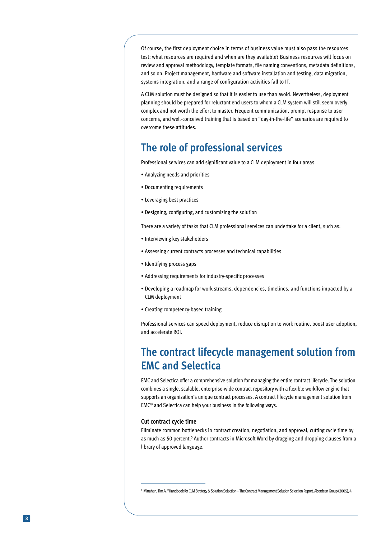Of course, the first deployment choice in terms of business value must also pass the resources test: what resources are required and when are they available? Business resources will focus on review and approval methodology, template formats, file naming conventions, metadata definitions, and so on. Project management, hardware and software installation and testing, data migration, systems integration, and a range of configuration activities fall to IT.

A CLM solution must be designed so that it is easier to use than avoid. Nevertheless, deployment planning should be prepared for reluctant end users to whom a CLM system will still seem overly complex and not worth the effort to master. Frequent communication, prompt response to user concerns, and well-conceived training that is based on "day-in-the-life" scenarios are required to overcome these attitudes.

### **The role of professional services**

Professional services can add significant value to a CLM deployment in four areas.

- Analyzing needs and priorities
- Documenting requirements
- Leveraging best practices
- Designing, configuring, and customizing the solution

There are a variety of tasks that CLM professional services can undertake for a client, such as:

- Interviewing key stakeholders
- Assessing current contracts processes and technical capabilities
- Identifying process gaps
- Addressing requirements for industry-specific processes
- Developing a roadmap for work streams, dependencies, timelines, and functions impacted by a CLM deployment
- Creating competency-based training

Professional services can speed deployment, reduce disruption to work routine, boost user adoption, and accelerate ROI.

### **The contract lifecycle management solution from EMC and Selectica**

EMC and Selectica offer a comprehensive solution for managing the entire contract lifecycle. The solution combines a single, scalable, enterprise-wide contract repository with a flexible workflow engine that supports an organization's unique contract processes. A contract lifecycle management solution from EMC® and Selectica can help your business in the following ways.

#### **Cut contract cycle time**

Eliminate common bottlenecks in contract creation, negotiation, and approval, cutting cycle time by as much as 50 percent.<sup>5</sup> Author contracts in Microsoft Word by dragging and dropping clauses from a library of approved language.

<sup>1</sup> Minahan, Tim A. "Handbook for CLM Strategy & Solution Selection—The Contract Management Solution Selection Report. Aberdeen Group (2005), 4.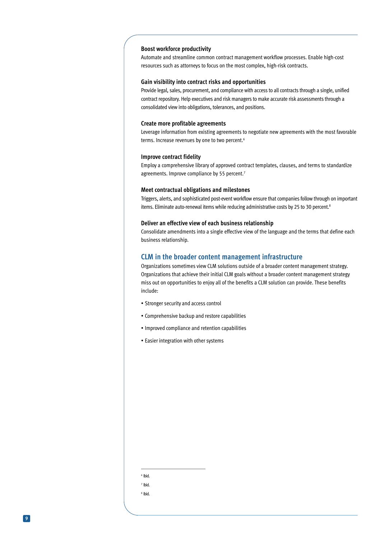#### **Boost workforce productivity**

Automate and streamline common contract management workflow processes. Enable high-cost resources such as attorneys to focus on the most complex, high-risk contracts.

#### **Gain visibility into contract risks and opportunities**

Provide legal, sales, procurement, and compliance with access to all contracts through a single, unified contract repository. Help executives and risk managers to make accurate risk assessments through a consolidated view into obligations, tolerances, and positions.

#### **Create more profitable agreements**

Leverage information from existing agreements to negotiate new agreements with the most favorable terms. Increase revenues by one to two percent. 6

#### **Improve contract fidelity**

Employ a comprehensive library of approved contract templates, clauses, and terms to standardize agreements. Improve compliance by 55 percent.<sup>7</sup>

#### **Meet contractual obligations and milestones**

Triggers, alerts, and sophisticated post-event workflow ensure that companies follow through on important items. Eliminate auto-renewal items while reducing administrative costs by 25 to 30 percent.<sup>8</sup>

#### **Deliver an effective view of each business relationship**

Consolidate amendments into a single effective view of the language and the terms that define each business relationship.

### **CLM in the broader content management infrastructure**

Organizations sometimes view CLM solutions outside of a broader content management strategy. Organizations that achieve their initial CLM goals without a broader content management strategy miss out on opportunities to enjoy all of the benefits a CLM solution can provide. These benefits include:

- Stronger security and access control
- Comprehensive backup and restore capabilities
- Improved compliance and retention capabilities
- Easier integration with other systems

6 Ibid. 7 Ibid.

8 Ibid.